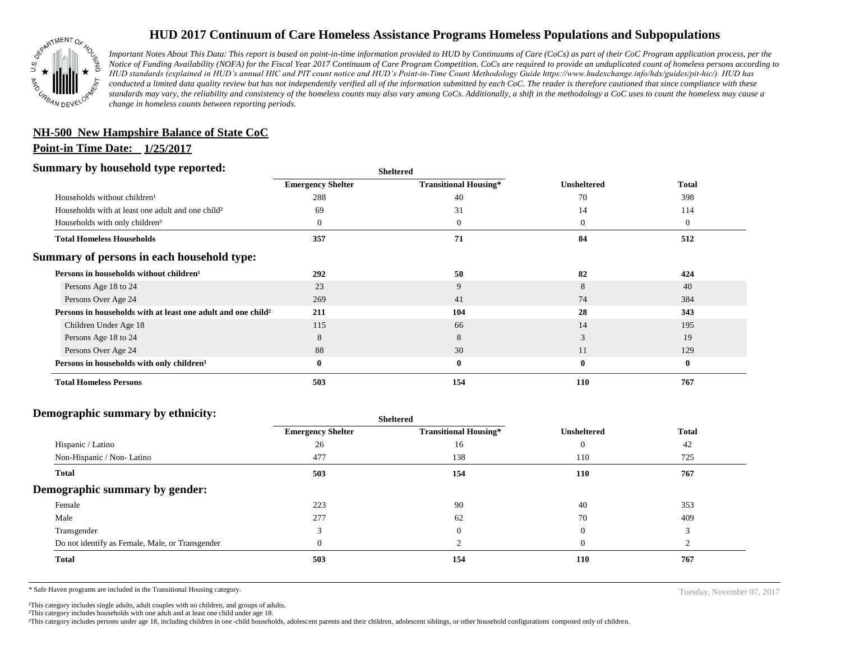

## **HUD 2017 Continuum of Care Homeless Assistance Programs Homeless Populations and Subpopulations**

*Important Notes About This Data: This report is based on point-in-time information provided to HUD by Continuums of Care (CoCs) as part of their CoC Program application process, per the Notice of Funding Availability (NOFA) for the Fiscal Year 2017 Continuum of Care Program Competition. CoCs are required to provide an unduplicated count of homeless persons according to HUD standards (explained in HUD's annual HIC and PIT count notice and HUD's Point-in-Time Count Methodology Guide https://www.hudexchange.info/hdx/guides/pit-hic/). HUD has conducted a limited data quality review but has not independently verified all of the information submitted by each CoC. The reader is therefore cautioned that since compliance with these*  standards may vary, the reliability and consistency of the homeless counts may also vary among CoCs. Additionally, a shift in the methodology a CoC uses to count the homeless may cause a *change in homeless counts between reporting periods.*

## **NH-500 New Hampshire Balance of State CoC**

#### **Point-in Time Date: 1/25/2017**

### **Summary by household type reported:**

| эчнинагу бу почвеною туре герогіесі:                                     |                          | <b>Sheltered</b>             |                    |              |  |
|--------------------------------------------------------------------------|--------------------------|------------------------------|--------------------|--------------|--|
|                                                                          | <b>Emergency Shelter</b> | <b>Transitional Housing*</b> | <b>Unsheltered</b> | <b>Total</b> |  |
| Households without children <sup>1</sup>                                 | 288                      | 40                           | 70                 | 398          |  |
| Households with at least one adult and one child <sup>2</sup>            | 69                       | 31                           | 14                 | 114          |  |
| Households with only children <sup>3</sup>                               |                          | $\mathbf{0}$                 | $\theta$           | $\mathbf{0}$ |  |
| <b>Total Homeless Households</b>                                         | 357                      | 71                           | 84                 | 512          |  |
| Summary of persons in each household type:                               |                          |                              |                    |              |  |
| Persons in households without children <sup>1</sup>                      | 292                      | 50                           | 82                 | 424          |  |
| Persons Age 18 to 24                                                     | 23                       | 9                            | 8                  | 40           |  |
| Persons Over Age 24                                                      | 269                      | 41                           | 74                 | 384          |  |
| Persons in households with at least one adult and one child <sup>2</sup> | 211                      | 104                          | 28                 | 343          |  |
| Children Under Age 18                                                    | 115                      | 66                           | 14                 | 195          |  |
| Persons Age 18 to 24                                                     | 8                        | 8                            |                    | 19           |  |
| Persons Over Age 24                                                      | 88                       | 30                           | 11                 | 129          |  |
| Persons in households with only children <sup>3</sup>                    | $\mathbf{0}$             | $\bf{0}$                     | $\mathbf{0}$       | $\bf{0}$     |  |
| <b>Total Homeless Persons</b>                                            | 503                      | 154                          | 110                | 767          |  |

### **Demographic summary by ethnicity:**

| ີ<br>. .<br>$\cdot$ $\cdot$                     | Sneitered                |                              |                    |              |
|-------------------------------------------------|--------------------------|------------------------------|--------------------|--------------|
|                                                 | <b>Emergency Shelter</b> | <b>Transitional Housing*</b> | <b>Unsheltered</b> | <b>Total</b> |
| Hispanic / Latino                               | 26                       | 16                           | $\theta$           | 42           |
| Non-Hispanic / Non-Latino                       | 477                      | 138                          | 110                | 725          |
| <b>Total</b>                                    | 503                      | 154                          | 110                | 767          |
| Demographic summary by gender:                  |                          |                              |                    |              |
| Female                                          | 223                      | 90                           | 40                 | 353          |
| Male                                            | 277                      | 62                           | 70                 | 409          |
| Transgender                                     |                          | $\mathbf{0}$                 | $\Omega$           |              |
| Do not identify as Female, Male, or Transgender |                          |                              | $\Omega$           |              |
| Total                                           | 503                      | 154                          | 110                | 767          |
|                                                 |                          |                              |                    |              |

**Sheltered**

\* Safe Haven programs are included in the Transitional Housing category. Tuesday, November 07, 2017

<sup>1</sup>This category includes single adults, adult couples with no children, and groups of adults.

²This category includes households with one adult and at least one child under age 18.

³This category includes persons under age 18, including children in one -child households, adolescent parents and their children, adolescent siblings, or other household configurations composed only of children.